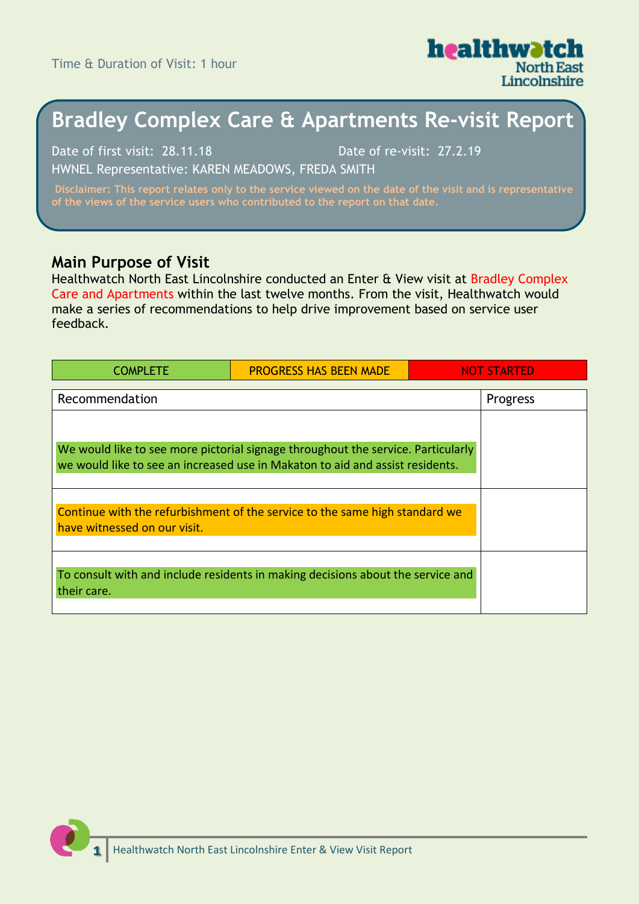Time & Duration of Visit: 1 hour



# **Bradley Complex Care & Apartments Re-visit Report**

Date of first visit: 28.11.18 Date of re-visit: 27.2.19 HWNEL Representative: KAREN MEADOWS, FREDA SMITH

### **Main Purpose of Visit**

Healthwatch North East Lincolnshire conducted an Enter & View visit at Bradley Complex Care and Apartments within the last twelve months. From the visit, Healthwatch would make a series of recommendations to help drive improvement based on service user feedback.

| <b>COMPLETE</b>                                                                                                                                                   | <b>PROGRESS HAS BEEN MADE</b> | NOT STARTED |
|-------------------------------------------------------------------------------------------------------------------------------------------------------------------|-------------------------------|-------------|
| Recommendation                                                                                                                                                    |                               | Progress    |
| We would like to see more pictorial signage throughout the service. Particularly<br>we would like to see an increased use in Makaton to aid and assist residents. |                               |             |
| Continue with the refurbishment of the service to the same high standard we<br>have witnessed on our visit.                                                       |                               |             |
| To consult with and include residents in making decisions about the service and<br>their care.                                                                    |                               |             |